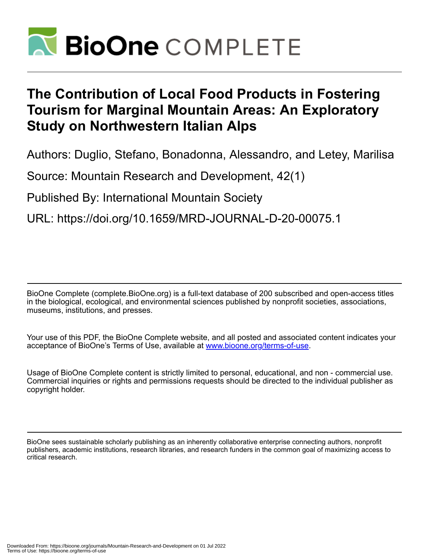

# **The Contribution of Local Food Products in Fostering Tourism for Marginal Mountain Areas: An Exploratory Study on Northwestern Italian Alps**

Authors: Duglio, Stefano, Bonadonna, Alessandro, and Letey, Marilisa

Source: Mountain Research and Development, 42(1)

Published By: International Mountain Society

URL: https://doi.org/10.1659/MRD-JOURNAL-D-20-00075.1

BioOne Complete (complete.BioOne.org) is a full-text database of 200 subscribed and open-access titles in the biological, ecological, and environmental sciences published by nonprofit societies, associations, museums, institutions, and presses.

Your use of this PDF, the BioOne Complete website, and all posted and associated content indicates your acceptance of BioOne's Terms of Use, available at www.bioone.org/terms-of-use.

Usage of BioOne Complete content is strictly limited to personal, educational, and non - commercial use. Commercial inquiries or rights and permissions requests should be directed to the individual publisher as copyright holder.

BioOne sees sustainable scholarly publishing as an inherently collaborative enterprise connecting authors, nonprofit publishers, academic institutions, research libraries, and research funders in the common goal of maximizing access to critical research.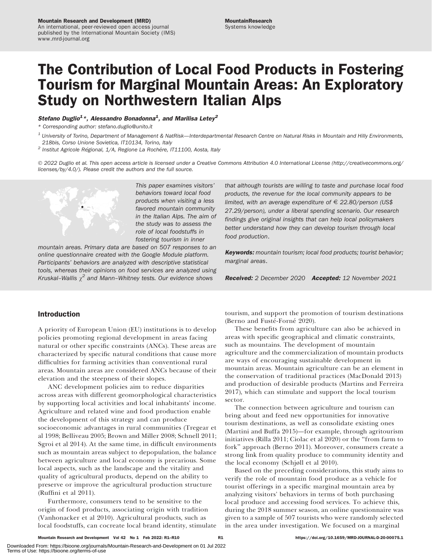#### Mountain Research and Development (MRD)

An international, peer-reviewed open access journal published by the International Mountain Society (IMS) www.mrd-journal.org

# The Contribution of Local Food Products in Fostering Tourism for Marginal Mountain Areas: An Exploratory Study on Northwestern Italian Alps

# Stefano Duglio<sup>1</sup>\*, Alessandro Bonadonna<sup>1</sup>, and Marilisa Letey<sup>2</sup>

\* Corresponding author: [stefano.duglio@unito.it](mailto:stefano.duglio@unito.it)

 $1$  University of Torino, Department of Management & NatRisk—Interdepartmental Research Centre on Natural Risks in Mountain and Hilly Environments, 218bis, Corso Unione Sovietica, IT10134, Torino, Italy

 $^2$  Institut Agricole Régional,  $1/A$ , Regione La Rochère, IT $11100$ , Aosta, Italy

- 2022 Duglio et al. This open access article is licensed under a Creative Commons Attribution 4.0 International License ([http://creativecommons.org/](http://creativecommons.org/licenses/by/4.0/) [licenses/by/4.0/](http://creativecommons.org/licenses/by/4.0/)). Please credit the authors and the full source.



This paper examines visitors' behaviors toward local food products when visiting a less favored mountain community in the Italian Alps. The aim of the study was to assess the role of local foodstuffs in fostering tourism in inner

mountain areas. Primary data are based on 507 responses to an online questionnaire created with the Google Module platform. Participants' behaviors are analyzed with descriptive statistical tools, whereas their opinions on food services are analyzed using Kruskal–Wallis  $\chi^2$  and Mann–Whitney tests. Our evidence shows

that although tourists are willing to taste and purchase local food products, the revenue for the local community appears to be limited, with an average expenditure of  $\epsilon$  22.80/person (US\$ 27.29/person), under a liberal spending scenario. Our research findings give original insights that can help local policymakers better understand how they can develop tourism through local food production.

Keywords: mountain tourism; local food products; tourist behavior; marginal areas.

Received: 2 December 2020 Accepted: 12 November 2021

# Introduction

A priority of European Union (EU) institutions is to develop policies promoting regional development in areas facing natural or other specific constraints (ANCs). These areas are characterized by specific natural conditions that cause more difficulties for farming activities than conventional rural areas. Mountain areas are considered ANCs because of their elevation and the steepness of their slopes.

ANC development policies aim to reduce disparities across areas with different geomorphological characteristics by supporting local activities and local inhabitants' income. Agriculture and related wine and food production enable the development of this strategy and can produce socioeconomic advantages in rural communities (Tregear et al 1998; Belliveau 2005; Brown and Miller 2008; Schnell 2011; Sgroi et al 2014). At the same time, in difficult environments such as mountain areas subject to depopulation, the balance between agriculture and local economy is precarious. Some local aspects, such as the landscape and the vitality and quality of agricultural products, depend on the ability to preserve or improve the agricultural production structure (Ruffini et al 2011).

Furthermore, consumers tend to be sensitive to the origin of food products, associating origin with tradition (Vanhonacker et al 2010). Agricultural products, such as local foodstuffs, can cocreate local brand identity, stimulate tourism, and support the promotion of tourism destinations (Berno and Fusté-Forné 2020).

These benefits from agriculture can also be achieved in areas with specific geographical and climatic constraints, such as mountains. The development of mountain agriculture and the commercialization of mountain products are ways of encouraging sustainable development in mountain areas. Mountain agriculture can be an element in the conservation of traditional practices (MacDonald 2013) and production of desirable products (Martins and Ferreira 2017), which can stimulate and support the local tourism sector.

The connection between agriculture and tourism can bring about and feed new opportunities for innovative tourism destinations, as well as consolidate existing ones (Martini and Buffa 2015)—for example, through agritourism initiatives (Rilla 2011; Ciolac et al 2020) or the ''from farm to fork'' approach (Berno 2011). Moreover, consumers create a strong link from quality produce to community identity and the local economy (Schjøll et al 2010).

Based on the preceding considerations, this study aims to verify the role of mountain food produce as a vehicle for tourist offerings in a specific marginal mountain area by analyzing visitors' behaviors in terms of both purchasing local produce and accessing food services. To achieve this, during the 2018 summer season, an online questionnaire was given to a sample of 507 tourists who were randomly selected in the area under investigation. We focused on a marginal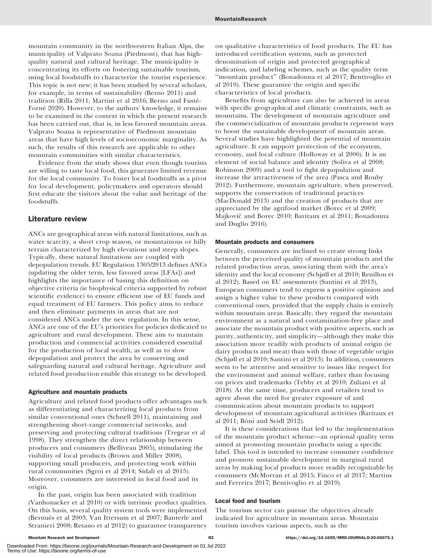mountain community in the northwestern Italian Alps, the municipality of Valprato Soana (Piedmont), that has highquality natural and cultural heritage. The municipality is concentrating its efforts on fostering sustainable tourism, using local foodstuffs to characterize the tourist experience. This topic is not new; it has been studied by several scholars, for example, in terms of sustainability (Berno 2011) and tradition (Rilla 2011; Martini et al 2016; Berno and Fusté-Forné 2020). However, to the authors' knowledge, it remains to be examined in the context in which the present research has been carried out, that is, in less favored mountain areas. Valprato Soana is representative of Piedmont mountain areas that have high levels of socioeconomic marginality. As such, the results of this research are applicable to other mountain communities with similar characteristics.

Evidence from the study shows that even though tourists are willing to taste local food, this generates limited revenue for the local community. To foster local foodstuffs as a pivot for local development, policymakers and operators should first educate the visitors about the value and heritage of the foodstuffs.

# Literature review

ANCs are geographical areas with natural limitations, such as water scarcity, a short crop season, or mountainous or hilly terrain characterized by high elevations and steep slopes. Typically, these natural limitations are coupled with depopulation trends. EU Regulation 1305/2013 defines ANCs (updating the older term, less favored areas [LFAs]) and highlights the importance of basing this definition on objective criteria (ie biophysical criteria supported by robust scientific evidence) to ensure efficient use of EU funds and equal treatment of EU farmers. This policy aims to reduce and then eliminate payments in areas that are not considered ANCs under the new regulation. In this sense, ANCs are one of the EU's priorities for policies dedicated to agriculture and rural development. These aim to maintain production and commercial activities considered essential for the production of local wealth, as well as to slow depopulation and protect the area by conserving and safeguarding natural and cultural heritage. Agriculture and related food production enable this strategy to be developed.

#### Agriculture and mountain products

Agriculture and related food products offer advantages such as differentiating and characterizing local products from similar conventional ones (Schnell 2011), maintaining and strengthening short-range commercial networks, and preserving and protecting cultural traditions (Tregear et al 1998). They strengthen the direct relationship between producers and consumers (Belliveau 2005), stimulating the visibility of local products (Brown and Miller 2008), supporting small producers, and protecting work within rural communities (Sgroi et al 2014; Sidali et al 2015). Moreover, consumers are interested in local food and its origin.

In the past, origin has been associated with tradition (Vanhonacker et al 2010) or with intrinsic product qualities. On this basis, several quality system tools were implemented (Bernués et al 2003; Van Ittersum et al 2007; Banterle and Stranieri 2008; Resano et al 2012) to guarantee transparency on qualitative characteristics of food products. The EU has introduced certification systems, such as protected denomination of origin and protected geographical indication, and labeling schemes, such as the quality term ''mountain product'' (Bonadonna et al 2017; Bentivoglio et al 2019). These guarantee the origin and specific characteristics of local products.

Benefits from agriculture can also be achieved in areas with specific geographical and climatic constraints, such as mountains. The development of mountain agriculture and the commercialization of mountain products represent ways to boost the sustainable development of mountain areas. Several studies have highlighted the potential of mountain agriculture. It can support protection of the ecosystem, economy, and local culture (Holloway et al 2006). It is an element of social balance and identity (Soliva et al 2008; Robinson 2009) and a tool to fight depopulation and increase the attractiveness of the area (Pasca and Rouby 2012). Furthermore, mountain agriculture, when preserved, supports the conservation of traditional practices (MacDonald 2013) and the creation of products that are appreciated by the agrifood market (Borec et al 2009; Majkovič and Borec 2010; Baritaux et al 2011; Bonadonna and Duglio 2016).

# Mountain products and consumers

Generally, consumers are inclined to create strong links between the perceived quality of mountain products and the related production areas, associating them with the area's identity and the local economy (Schjøll et al 2010; Reuillon et al 2012). Based on EU assessments (Santini et al 2013), European consumers tend to express a positive opinion and assign a higher value to these products compared with conventional ones, provided that the supply chain is entirely within mountain areas. Basically, they regard the mountain environment as a natural and contamination-free place and associate the mountain product with positive aspects, such as purity, authenticity, and simplicity—although they make this association more readily with products of animal origin (ie dairy products and meat) than with those of vegetable origin (Schjøll et al 2010; Santini et al 2013). In addition, consumers seem to be attentive and sensitive to issues like respect for the environment and animal welfare, rather than focusing on prices and trademarks (Tebby et al 2010; Zuliani et al 2018). At the same time, producers and retailers tend to agree about the need for greater exposure of and communication about mountain products to support development of mountain agricultural activities (Baritaux et al 2011; Böni and Seidl 2012).

It is these considerations that led to the implementation of the mountain product scheme—an optional quality term aimed at promoting mountain products using a specific label. This tool is intended to increase consumer confidence and promote sustainable development in marginal rural areas by making local products more readily recognizable by consumers (McMorran et al 2015; Finco et al 2017; Martins and Ferreira 2017; Bentivoglio et al 2019).

### Local food and tourism

The tourism sector can pursue the objectives already indicated for agriculture in mountain areas. Mountain tourism involves various aspects, such as the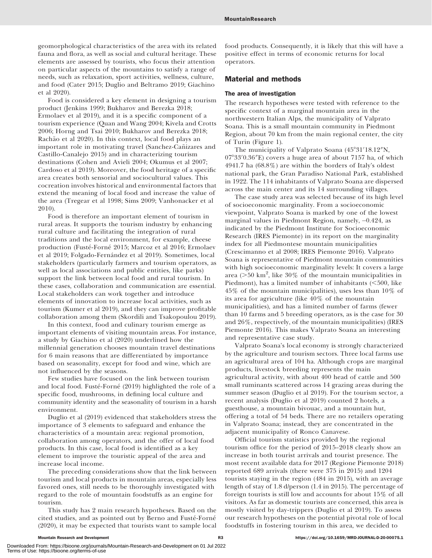geomorphological characteristics of the area with its related fauna and flora, as well as social and cultural heritage. These elements are assessed by tourists, who focus their attention on particular aspects of the mountains to satisfy a range of needs, such as relaxation, sport activities, wellness, culture, and food (Cater 2015; Duglio and Beltramo 2019; Giachino et al 2020).

Food is considered a key element in designing a tourism product (Jenkins 1999; Bukharov and Berezka 2018; Ermolaev et al 2019), and it is a specific component of a tourism experience (Quan and Wang 2004; Kivela and Crotts 2006; Horng and Tsai 2010; Bukharov and Berezka 2018; Rachão et al 2020). In this context, local food plays an important role in motivating travel (Sanchez-Cañizares and Castillo-Canalejo 2015) and in characterizing tourism destinations (Cohen and Avieli 2004; Okumus et al 2007; Cardoso et al 2019). Moreover, the food heritage of a specific area creates both sensorial and sociocultural values. This cocreation involves historical and environmental factors that extend the meaning of local food and increase the value of the area (Tregear et al 1998; Sims 2009; Vanhonacker et al 2010).

Food is therefore an important element of tourism in rural areas. It supports the tourism industry by enhancing rural culture and facilitating the integration of rural traditions and the local environment, for example, cheese production (Fusté-Forné 2015; Marcoz et al 2016; Ermolaev et al 2019; Folgado-Fernández et al 2019). Sometimes, local stakeholders (particularly farmers and tourism operators, as well as local associations and public entities, like parks) support the link between local food and rural tourism. In these cases, collaboration and communication are essential. Local stakeholders can work together and introduce elements of innovation to increase local activities, such as tourism (Kumer et al 2019), and they can improve profitable collaboration among them (Skordili and Tsakopoulou 2019).

In this context, food and culinary tourism emerge as important elements of visiting mountain areas. For instance, a study by Giachino et al (2020) underlined how the millennial generation chooses mountain travel destinations for 6 main reasons that are differentiated by importance based on seasonality, except for food and wine, which are not influenced by the seasons.

Few studies have focused on the link between tourism and local food. Fusté-Forné (2019) highlighted the role of a specific food, mushrooms, in defining local culture and community identity and the seasonality of tourism in a harsh environment.

Duglio et al (2019) evidenced that stakeholders stress the importance of 3 elements to safeguard and enhance the characteristics of a mountain area: regional promotion, collaboration among operators, and the offer of local food products. In this case, local food is identified as a key element to improve the touristic appeal of the area and increase local income.

The preceding considerations show that the link between tourism and local products in mountain areas, especially less favored ones, still needs to be thoroughly investigated with regard to the role of mountain foodstuffs as an engine for tourism.

This study has 2 main research hypotheses. Based on the cited studies, and as pointed out by Berno and Fusté-Forné (2020), it may be expected that tourists want to sample local food products. Consequently, it is likely that this will have a positive effect in terms of economic returns for local operators.

# Material and methods

### The area of investigation

The research hypotheses were tested with reference to the specific context of a marginal mountain area in the northwestern Italian Alps, the municipality of Valprato Soana. This is a small mountain community in Piedmont Region, about 70 km from the main regional center, the city of Turin (Figure 1).

The municipality of Valprato Soana (45°31′18.12″N, 07°33′0.36″E) covers a huge area of about 7157 ha, of which 4941.7 ha (68.8%) are within the borders of Italy's oldest national park, the Gran Paradiso National Park, established in 1922. The 114 inhabitants of Valprato Soana are dispersed across the main center and its 14 surrounding villages.

The case study area was selected because of its high level of socioeconomic marginality. From a socioeconomic viewpoint, Valprato Soana is marked by one of the lowest marginal values in Piedmont Region, namely, -0.424, as indicated by the Piedmont Institute for Socioeconomic Research (IRES Piemonte) in its report on the marginality index for all Piedmontese mountain municipalities (Crescimanno et al 2008; IRES Piemonte 2016). Valprato Soana is representative of Piedmont mountain communities with high socioeconomic marginality levels: It covers a large area ( $>$ 50 km<sup>2</sup>, like 30% of the mountain municipalities in Piedmont), has a limited number of inhabitants  $(<500$ , like 45% of the mountain municipalities), uses less than 10% of its area for agriculture (like 40% of the mountain municipalities), and has a limited number of farms (fewer than 10 farms and 5 breeding operators, as is the case for 30 and 26%, respectively, of the mountain municipalities) (IRES Piemonte 2016). This makes Valprato Soana an interesting and representative case study.

Valprato Soana's local economy is strongly characterized by the agriculture and tourism sectors. Three local farms use an agricultural area of 104 ha. Although crops are marginal products, livestock breeding represents the main agricultural activity, with about 400 head of cattle and 500 small ruminants scattered across 14 grazing areas during the summer season (Duglio et al 2019). For the tourism sector, a recent analysis (Duglio et al 2019) counted 2 hotels, a guesthouse, a mountain bivouac, and a mountain hut, offering a total of 54 beds. There are no retailers operating in Valprato Soana; instead, they are concentrated in the adjacent municipality of Ronco Canavese.

Official tourism statistics provided by the regional tourism office for the period of 2015–2018 clearly show an increase in both tourist arrivals and tourist presence. The most recent available data for 2017 (Regione Piemonte 2018) reported 689 arrivals (there were 375 in 2015) and 1204 tourists staying in the region (484 in 2015), with an average length of stay of 1.8 d/person (1.4 in 2015). The percentage of foreign tourists is still low and accounts for about 15% of all visitors. As far as domestic tourists are concerned, this area is mostly visited by day-trippers (Duglio et al 2019). To assess our research hypotheses on the potential pivotal role of local foodstuffs in fostering tourism in this area, we decided to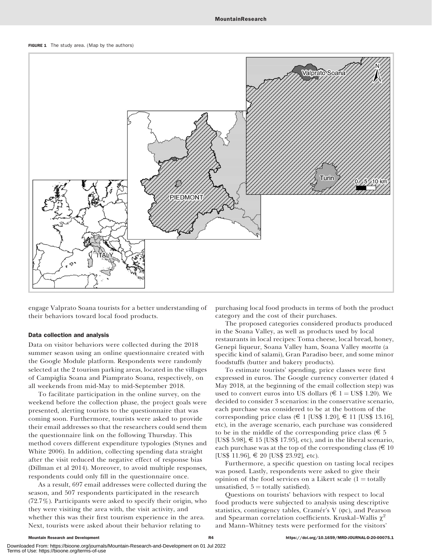#### FIGURE 1 The study area. (Map by the authors)



engage Valprato Soana tourists for a better understanding of their behaviors toward local food products.

#### Data collection and analysis

Data on visitor behaviors were collected during the 2018 summer season using an online questionnaire created with the Google Module platform. Respondents were randomly selected at the 2 tourism parking areas, located in the villages of Campiglia Soana and Piamprato Soana, respectively, on all weekends from mid-May to mid-September 2018.

To facilitate participation in the online survey, on the weekend before the collection phase, the project goals were presented, alerting tourists to the questionnaire that was coming soon. Furthermore, tourists were asked to provide their email addresses so that the researchers could send them the questionnaire link on the following Thursday. This method covers different expenditure typologies (Stynes and White 2006). In addition, collecting spending data straight after the visit reduced the negative effect of response bias (Dillman et al 2014). Moreover, to avoid multiple responses, respondents could only fill in the questionnaire once.

As a result, 697 email addresses were collected during the season, and 507 respondents participated in the research (72.7%). Participants were asked to specify their origin, who they were visiting the area with, the visit activity, and whether this was their first tourism experience in the area. Next, tourists were asked about their behavior relating to

purchasing local food products in terms of both the product category and the cost of their purchases.

The proposed categories considered products produced in the Soana Valley, as well as products used by local restaurants in local recipes: Toma cheese, local bread, honey, Genepì liqueur, Soana Valley ham, Soana Valley mocetta (a specific kind of salami), Gran Paradiso beer, and some minor foodstuffs (butter and bakery products).

To estimate tourists' spending, price classes were first expressed in euros. The Google currency converter (dated 4 May 2018, at the beginning of the email collection step) was used to convert euros into US dollars ( $\epsilon$  1 = US\$ 1.20). We decided to consider 3 scenarios: in the conservative scenario, each purchase was considered to be at the bottom of the corresponding price class ( $\in$  1 [US\$ 1.20],  $\in$  11 [US\$ 13.16], etc), in the average scenario, each purchase was considered to be in the middle of the corresponding price class ( $\epsilon$  5 [US\$ 5.98],  $\epsilon$  15 [US\$ 17.95], etc), and in the liberal scenario, each purchase was at the top of the corresponding class ( $\epsilon$  10 [US\$ 11.96], E 20 [US\$ 23.92], etc).

Furthermore, a specific question on tasting local recipes was posed. Lastly, respondents were asked to give their opinion of the food services on a Likert scale  $(1 = \text{totally})$ unsatisfied,  $5 =$  totally satisfied).

Questions on tourists' behaviors with respect to local food products were subjected to analysis using descriptive statistics, contingency tables, Cramér's V (PC), and Pearson and Spearman correlation coefficients. Kruskal–Wallis  $\chi^2$ and Mann–Whitney tests were performed for the visitors'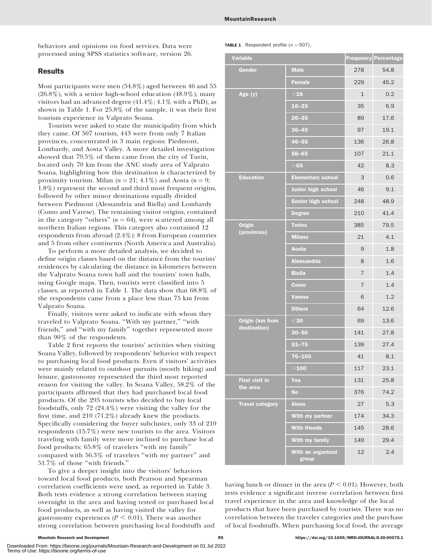behaviors and opinions on food services. Data were processed using SPSS statistics software, version 26.

# Results

Most participants were men (54.8%) aged between 46 and 55  $(26.8\%)$ , with a senior high-school education  $(48.9\%)$ ; many visitors had an advanced degree  $(41.4\%; 4.1\%$  with a PhD), as shown in Table 1. For 25.8% of the sample, it was their first tourism experience in Valprato Soana.

Tourists were asked to state the municipality from which they came. Of 507 tourists, 443 were from only 7 Italian provinces, concentrated in 3 main regions: Piedmont, Lombardy, and Aosta Valley. A more detailed investigation showed that 79.5% of them came from the city of Turin, located only 70 km from the ANC study area of Valprato Soana, highlighting how this destination is characterized by proximity tourism. Milan ( $n = 21$ ; 4.1%) and Aosta ( $n = 9$ ; 1.8%) represent the second and third most frequent origins, followed by other minor destinations equally divided between Piedmont (Alessandria and Biella) and Lombardy (Como and Varese). The remaining visitor origins, contained in the category "others"  $(n = 64)$ , were scattered among all northern Italian regions. This category also contained 12 respondents from abroad (2.4%): 8 from European countries and 5 from other continents (North America and Australia).

To perform a more detailed analysis, we decided to define origin classes based on the distance from the tourists' residences by calculating the distance in kilometers between the Valprato Soana town hall and the tourists' town halls, using Google maps. Then, tourists were classified into 5 classes, as reported in Table 1. The data show that 68.8% of the respondents came from a place less than 75 km from Valprato Soana.

Finally, visitors were asked to indicate with whom they traveled to Valprato Soana. ''With my partner,'' ''with friends,'' and ''with my family'' together represented more than 90% of the respondents.

Table 2 first reports the tourists' activities when visiting Soana Valley, followed by respondents' behavior with respect to purchasing local food products. Even if visitors' activities were mainly related to outdoor pursuits (mostly hiking) and leisure, gastronomy represented the third most reported reason for visiting the valley. In Soana Valley, 58.2% of the participants affirmed that they had purchased local food products. Of the 295 tourists who decided to buy local foodstuffs, only 72 (24.4%) were visiting the valley for the first time, and 210 (71.2%) already knew the products. Specifically considering the buyer subcluster, only 33 of 210 respondents (15.7%) were new tourists to the area. Visitors traveling with family were more inclined to purchase local food products: 65.8% of travelers ''with my family'' compared with 56.3% of travelers ''with my partner'' and 51.7% of those ''with friends.''

To give a deeper insight into the visitors' behaviors toward local food products, both Pearson and Spearman correlation coefficients were used, as reported in Table 3. Both tests evidence a strong correlation between staying overnight in the area and having tested or purchased local food products, as well as having visited the valley for gastronomy experiences ( $P < 0.01$ ). There was another strong correlation between purchasing local foodstuffs and

| <b>Variable</b>                   |                            |                | Frequency Percentage |
|-----------------------------------|----------------------------|----------------|----------------------|
| Gender                            | <b>Male</b>                | 278            | 54.8                 |
|                                   | <b>Female</b>              | 229            | 45.2                 |
| Age $(y)$                         | $<$ 16                     | $\mathbf{1}$   | 0.2                  |
|                                   | $16 - 25$                  | 35             | 6.9                  |
|                                   | $26 - 35$                  | 89             | 17.6                 |
|                                   | $36 - 45$                  | 97             | 19.1                 |
|                                   | $46 - 55$                  | 136            | 26.8                 |
|                                   | $56 - 65$                  | 107            | 21.1                 |
|                                   | $>65$                      | 42             | 8.3                  |
| <b>Education</b>                  | <b>Elementary school</b>   | 3              | 0.6                  |
|                                   | Junior high school         | 46             | 9.1                  |
|                                   | <b>Senior high school</b>  | 248            | 48.9                 |
|                                   | <b>Degree</b>              | 210            | 41.4                 |
| <b>Origin</b>                     | <b>Torino</b>              | 385            | 79.5                 |
| (provinces)                       | <b>Milano</b>              | 21             | 4.1                  |
|                                   | Aosta                      | 9              | 1.8                  |
|                                   | <b>Alessandria</b>         | 8              | 1.6                  |
|                                   | <b>Biella</b>              | 7              | 1.4                  |
|                                   | Como                       | $\overline{7}$ | 1.4                  |
|                                   | <b>Varese</b>              | 6              | 1.2                  |
|                                   | <b>Others</b>              | 64             | 12.6                 |
| Origin (km from<br>destination)   | $30$                       | 69             | 13.6                 |
|                                   | $30 - 50$                  | 141            | 27.8                 |
|                                   | $51 - 75$                  | 139            | 27.4                 |
|                                   | 76-100                     | 41             | 8.1                  |
|                                   | >100                       | 117            | 23.1                 |
| <b>First visit in</b><br>the area | <b>Yes</b>                 | 131            | 25.8                 |
|                                   | <b>No</b>                  | 376            | 74.2                 |
| <b>Travel category</b>            | <b>Alone</b>               | 27             | 5.3                  |
|                                   | With my partner            | 174            | 34.3                 |
|                                   | <b>With friends</b>        | 145            | 28.6                 |
|                                   | With my family             | 149            | 29.4                 |
|                                   | With an organized<br>group | 12             | 2.4                  |

having lunch or dinner in the area ( $P < 0.01$ ). However, both tests evidence a significant inverse correlation between first travel experience in the area and knowledge of the local products that have been purchased by tourists. There was no correlation between the traveler categories and the purchase of local foodstuffs. When purchasing local food, the average

Downloaded From: https://bioone.org/journals/Mountain-Research-and-Development on 01 Jul 2022 Terms of Use: https://bioone.org/terms-of-use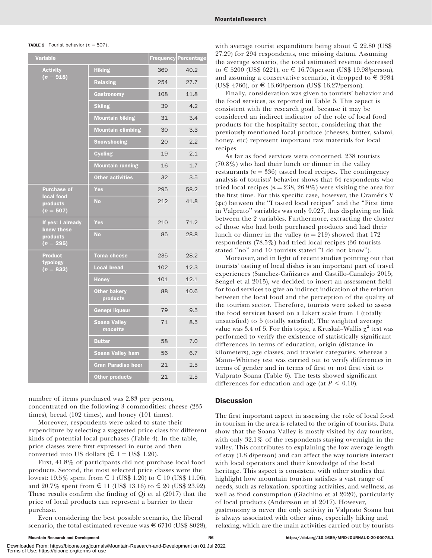| <b>TABLE 2</b> Tourist behavior ( $n = 507$ ). |  |
|------------------------------------------------|--|
|------------------------------------------------|--|

| <b>Variable</b>                                            | <b>Frequency</b>                | Percentage |      |
|------------------------------------------------------------|---------------------------------|------------|------|
| <b>Activity</b><br>$(n = 918)$                             | <b>Hiking</b>                   | 369        | 40.2 |
|                                                            | <b>Relaxing</b>                 | 254        | 27.7 |
|                                                            | Gastronomy                      | 108        | 11.8 |
|                                                            | <b>Skiing</b>                   | 39         | 4.2  |
|                                                            | <b>Mountain biking</b>          | 31         | 3.4  |
|                                                            | <b>Mountain climbing</b>        | 30         | 3.3  |
|                                                            | <b>Snowshoeing</b>              | 20         | 2.2  |
|                                                            | <b>Cycling</b>                  | 19         | 2.1  |
|                                                            | <b>Mountain running</b>         | 16         | 1.7  |
|                                                            | <b>Other activities</b>         | 32         | 3.5  |
| <b>Purchase of</b>                                         | <b>Yes</b>                      | 295        | 58.2 |
| local food<br>products<br>$(n = 507)$                      | <b>No</b>                       | 212        | 41.8 |
| If yes: I already<br>knew these<br>products<br>$(n = 295)$ | Yes                             | 210        | 71.2 |
|                                                            | <b>No</b>                       | 85         | 28.8 |
| <b>Product</b><br>typology<br>$(n = 832)$                  | <b>Toma cheese</b>              | 235        | 28.2 |
|                                                            | <b>Local bread</b>              | 102        | 12.3 |
|                                                            | <b>Honey</b>                    | 101        | 12.1 |
|                                                            | <b>Other bakery</b><br>products | 88         | 10.6 |
|                                                            | Genepì liqueur                  | 79         | 9.5  |
|                                                            | <b>Soana Valley</b><br>mocetta  | 71         | 8.5  |
|                                                            | <b>Butter</b>                   | 58         | 7.0  |
|                                                            | Soana Valley ham                | 56         | 6.7  |
|                                                            | Gran Paradiso beer              | 21         | 2.5  |
|                                                            | <b>Other products</b>           | 21         | 2.5  |

number of items purchased was 2.83 per person, concentrated on the following 3 commodities: cheese (235 times), bread (102 times), and honey (101 times).

Moreover, respondents were asked to state their expenditure by selecting a suggested price class for different kinds of potential local purchases (Table 4). In the table, price classes were first expressed in euros and then converted into US dollars ( $\epsilon$  1 = US\$ 1.20).

First, 41.8% of participants did not purchase local food products. Second, the most selected price classes were the lowest: 19.5% spent from € 1 (US\$ 1.20) to € 10 (US\$ 11.96), and 20.7% spent from  $\in$  11 (US\$ 13.16) to  $\in$  20 (US\$ 23.92). These results confirm the finding of Qi et al (2017) that the price of local products can represent a barrier to their purchase.

Even considering the best possible scenario, the liberal scenario, the total estimated revenue was  $\epsilon$  6710 (US\$ 8028), with average tourist expenditure being about  $\epsilon$  22.80 (US\$) 27.29) for 294 respondents, one missing datum. Assuming the average scenario, the total estimated revenue decreased to € 5200 (US\$ 6221), or € 16.70/person (US\$ 19.98/person), and assuming a conservative scenario, it dropped to  $\epsilon$  3984  $(US$ 4766)$ , or  $\in$  13.60/person (US\$ 16.27/person).

Finally, consideration was given to tourists' behavior and the food services, as reported in Table 5. This aspect is consistent with the research goal, because it may be considered an indirect indicator of the role of local food products for the hospitality sector, considering that the previously mentioned local produce (cheeses, butter, salami, honey, etc) represent important raw materials for local recipes.

As far as food services were concerned, 238 tourists (70.8%) who had their lunch or dinner in the valley restaurants ( $n = 336$ ) tasted local recipes. The contingency analysis of tourists' behavior shows that 64 respondents who tried local recipes ( $n = 238, 26.9\%$ ) were visiting the area for the first time. For this specific case, however, the Cramér's V  $(\varphi c)$  between the "I tasted local recipes" and the "First time" in Valprato'' variables was only 0.027, thus displaying no link between the 2 variables. Furthermore, extracting the cluster of those who had both purchased products and had their lunch or dinner in the valley ( $n = 219$ ) showed that 172 respondents (78.5%) had tried local recipes (36 tourists stated ''no'' and 10 tourists stated ''I do not know'').

Moreover, and in light of recent studies pointing out that tourists' tasting of local dishes is an important part of travel experiences (Sanchez-Cañizares and Castillo-Canalejo 2015; Sengel et al 2015), we decided to insert an assessment field for food services to give an indirect indication of the relation between the local food and the perception of the quality of the tourism sector. Therefore, tourists were asked to assess the food services based on a Likert scale from 1 (totally unsatisfied) to 5 (totally satisfied). The weighted average value was 3.4 of 5. For this topic, a Kruskal–Wallis  $\chi^2$  test was performed to verify the existence of statistically significant differences in terms of education, origin (distance in kilometers), age classes, and traveler categories, whereas a Mann–Whitney test was carried out to verify differences in terms of gender and in terms of first or not first visit to Valprato Soana (Table 6). The tests showed significant differences for education and age (at  $P < 0.10$ ).

# **Discussion**

The first important aspect in assessing the role of local food in tourism in the area is related to the origin of tourists. Data show that the Soana Valley is mostly visited by day tourists, with only 32.1% of the respondents staying overnight in the valley. This contributes to explaining the low average length of stay (1.8 d/person) and can affect the way tourists interact with local operators and their knowledge of the local heritage. This aspect is consistent with other studies that highlight how mountain tourism satisfies a vast range of needs, such as relaxation, sporting activities, and wellness, as well as food consumption (Giachino et al 2020), particularly of local products (Andersson et al 2017). However, gastronomy is never the only activity in Valprato Soana but is always associated with other aims, especially hiking and relaxing, which are the main activities carried out by tourists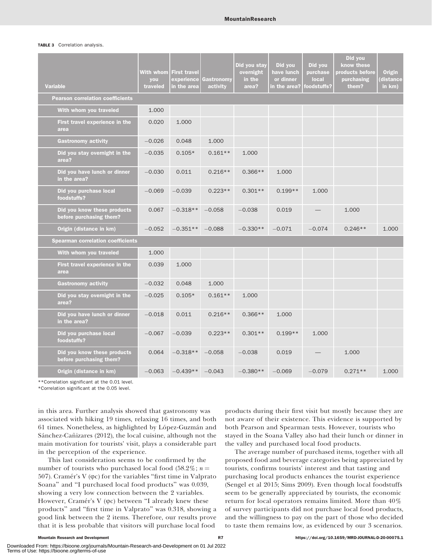#### TABLE 3 Correlation analysis.

| <b>Variable</b>                                        | With whom<br>you<br>traveled | <b>First travel</b><br>experience<br>in the area | Gastronomy<br>activity | Did you stay<br>overnight<br>in the<br>area? | Did you<br>have lunch<br>or dinner<br>in the area? | Did you<br>purchase<br>local<br>foodstuffs? | Did you<br>know these<br>products before<br>purchasing<br>them? | <b>Origin</b><br>distance<br>in km) |
|--------------------------------------------------------|------------------------------|--------------------------------------------------|------------------------|----------------------------------------------|----------------------------------------------------|---------------------------------------------|-----------------------------------------------------------------|-------------------------------------|
| <b>Pearson correlation coefficients</b>                |                              |                                                  |                        |                                              |                                                    |                                             |                                                                 |                                     |
| With whom you traveled                                 | 1.000                        |                                                  |                        |                                              |                                                    |                                             |                                                                 |                                     |
| First travel experience in the<br>area                 | 0.020                        | 1.000                                            |                        |                                              |                                                    |                                             |                                                                 |                                     |
| <b>Gastronomy activity</b>                             | $-0.026$                     | 0.048                                            | 1.000                  |                                              |                                                    |                                             |                                                                 |                                     |
| Did you stay overnight in the<br>area?                 | $-0.035$                     | $0.105*$                                         | $0.161**$              | 1.000                                        |                                                    |                                             |                                                                 |                                     |
| Did you have lunch or dinner<br>in the area?           | $-0.030$                     | 0.011                                            | $0.216**$              | $0.366**$                                    | 1.000                                              |                                             |                                                                 |                                     |
| Did you purchase local<br>foodstuffs?                  | $-0.069$                     | $-0.039$                                         | $0.223**$              | $0.301**$                                    | $0.199**$                                          | 1.000                                       |                                                                 |                                     |
| Did you know these products<br>before purchasing them? | 0.067                        | $-0.318**$                                       | $-0.058$               | $-0.038$                                     | 0.019                                              |                                             | 1.000                                                           |                                     |
| Origin (distance in km)                                | $-0.052$                     | $-0.351**$                                       | $-0.088$               | $-0.330**$                                   | $-0.071$                                           | $-0.074$                                    | $0.246**$                                                       | 1.000                               |
| <b>Spearman correlation coefficients</b>               |                              |                                                  |                        |                                              |                                                    |                                             |                                                                 |                                     |
| With whom you traveled                                 | 1.000                        |                                                  |                        |                                              |                                                    |                                             |                                                                 |                                     |
| First travel experience in the<br>area                 | 0.039                        | 1.000                                            |                        |                                              |                                                    |                                             |                                                                 |                                     |
| <b>Gastronomy activity</b>                             | $-0.032$                     | 0.048                                            | 1.000                  |                                              |                                                    |                                             |                                                                 |                                     |
| Did you stay overnight in the<br>area?                 | $-0.025$                     | $0.105*$                                         | $0.161**$              | 1.000                                        |                                                    |                                             |                                                                 |                                     |
| Did you have lunch or dinner<br>in the area?           | $-0.018$                     | 0.011                                            | $0.216**$              | $0.366**$                                    | 1.000                                              |                                             |                                                                 |                                     |
| Did you purchase local<br>foodstuffs?                  | $-0.067$                     | $-0.039$                                         | $0.223**$              | $0.301**$                                    | $0.199**$                                          | 1.000                                       |                                                                 |                                     |
| Did you know these products<br>before purchasing them? | 0.064                        | $-0.318**$                                       | $-0.058$               | $-0.038$                                     | 0.019                                              |                                             | 1.000                                                           |                                     |
| Origin (distance in km)                                | $-0.063$                     | $-0.439**$                                       | $-0.043$               | $-0.380**$                                   | $-0.069$                                           | $-0.079$                                    | $0.271**$                                                       | 1.000                               |

\*\*Correlation significant at the 0.01 level.

\*Correlation significant at the 0.05 level.

in this area. Further analysis showed that gastronomy was associated with hiking 19 times, relaxing 16 times, and both 61 times. Nonetheless, as highlighted by López-Guzmán and Sánchez-Cañizares (2012), the local cuisine, although not the main motivation for tourists' visit, plays a considerable part in the perception of the experience.

This last consideration seems to be confirmed by the number of tourists who purchased local food (58.2%;  $n =$ 507). Cramér's V ( $\varphi$ c) for the variables "first time in Valprato Soana'' and ''I purchased local food products'' was 0.039, showing a very low connection between the 2 variables. However, Cramér's V (pc) between "I already knew these products'' and ''first time in Valprato'' was 0.318, showing a good link between the 2 items. Therefore, our results prove that it is less probable that visitors will purchase local food

products during their first visit but mostly because they are not aware of their existence. This evidence is supported by both Pearson and Spearman tests. However, tourists who stayed in the Soana Valley also had their lunch or dinner in the valley and purchased local food products.

The average number of purchased items, together with all proposed food and beverage categories being appreciated by tourists, confirms tourists' interest and that tasting and purchasing local products enhances the tourist experience (Sengel et al 2015; Sims 2009). Even though local foodstuffs seem to be generally appreciated by tourists, the economic return for local operators remains limited. More than 40% of survey participants did not purchase local food products, and the willingness to pay on the part of those who decided to taste them remains low, as evidenced by our 3 scenarios.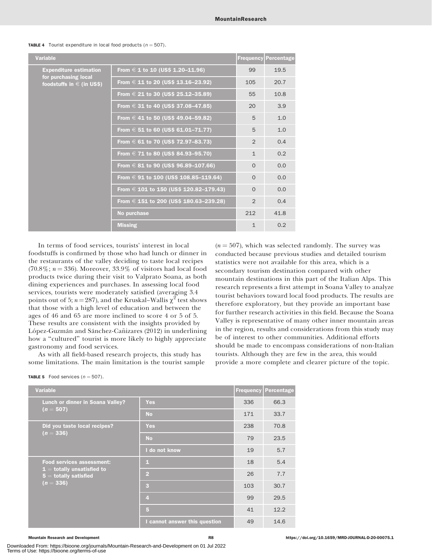#### **TABLE 4** Tourist expenditure in local food products  $(n = 507)$ .

| <b>Variable</b>                                       |                                            |                | <b>Frequency Percentage</b> |
|-------------------------------------------------------|--------------------------------------------|----------------|-----------------------------|
| <b>Expenditure estimation</b>                         | From $\in$ 1 to 10 (US\$ 1.20–11.96)       | 99             | 19.5                        |
| for purchasing local<br>foodstuffs in $\in$ (in US\$) | From $\in$ 11 to 20 (US\$ 13.16–23.92)     | 105            | 20.7                        |
|                                                       | From $\in$ 21 to 30 (US\$ 25.12-35.89)     | 55             | 10.8                        |
|                                                       | From $\in$ 31 to 40 (US\$ 37.08–47.85)     | 20             | 3.9                         |
|                                                       | From $\in$ 41 to 50 (US\$ 49.04–59.82)     | 5              | 1.0                         |
|                                                       | From $\in$ 51 to 60 (US\$ 61.01–71.77)     | 5              | 1.0                         |
|                                                       | From $\in$ 61 to 70 (US\$ 72.97–83.73)     | $\overline{2}$ | 0.4                         |
|                                                       | From $\in$ 71 to 80 (US\$ 84.93–95.70)     | $\mathbf{1}$   | 0.2                         |
|                                                       | From $\in$ 81 to 90 (US\$ 96.89–107.66)    | $\Omega$       | 0.0                         |
|                                                       | From $\in$ 91 to 100 (US\$ 108.85–119.64)  | $\Omega$       | 0.0                         |
|                                                       | From $\in$ 101 to 150 (US\$ 120.82-179.43) | $\Omega$       | 0.0                         |
|                                                       | From $\in$ 151 to 200 (US\$ 180.63-239.28) | $\mathcal{P}$  | 0.4                         |
|                                                       | No purchase                                | 212            | 41.8                        |
|                                                       | <b>Missing</b>                             | $\mathbf{1}$   | 0.2                         |

In terms of food services, tourists' interest in local foodstuffs is confirmed by those who had lunch or dinner in the restaurants of the valley deciding to taste local recipes  $(70.8\%; n = 336)$ . Moreover,  $33.9\%$  of visitors had local food products twice during their visit to Valprato Soana, as both dining experiences and purchases. In assessing local food services, tourists were moderately satisfied (averaging 3.4 points out of 5;  $n = 287$ ), and the Kruskal–Wallis  $\chi^2$  test shows that those with a high level of education and between the ages of 46 and 65 are more inclined to score 4 or 5 of 5. These results are consistent with the insights provided by López-Guzmán and Sánchez-Cañizares (2012) in underlining how a "cultured" tourist is more likely to highly appreciate gastronomy and food services.

As with all field-based research projects, this study has some limitations. The main limitation is the tourist sample

| <b>TABLE 5</b> Food services $(n = 507)$ . |  |
|--------------------------------------------|--|
|                                            |  |

| <b>Variable</b>                                                                                                     |                               | <b>Frequency Percentage</b> |      |
|---------------------------------------------------------------------------------------------------------------------|-------------------------------|-----------------------------|------|
| <b>Lunch or dinner in Soana Valley?</b>                                                                             | <b>Yes</b>                    | 336                         | 66.3 |
| $(n = 507)$                                                                                                         | <b>No</b>                     | 171                         | 33.7 |
| Did you taste local recipes?                                                                                        | <b>Yes</b>                    | 238                         | 70.8 |
| $(n = 336)$                                                                                                         | <b>No</b>                     | 79                          | 23.5 |
|                                                                                                                     | I do not know                 | 19                          | 5.7  |
| <b>Food services assessment:</b><br>$\mathbf{1} =$ totally unsatisfied to<br>$5 =$ totally satisfied<br>$(n = 336)$ | 1                             | 18                          | 5.4  |
|                                                                                                                     | $\overline{2}$                | 26                          | 7.7  |
|                                                                                                                     | $\overline{\mathbf{3}}$       | 103                         | 30.7 |
|                                                                                                                     | $\overline{4}$                | 99                          | 29.5 |
|                                                                                                                     | 5                             | 41                          | 12.2 |
|                                                                                                                     | I cannot answer this question | 49                          | 14.6 |

Downloaded From: https://bioone.org/journals/Mountain-Research-and-Development on 01 Jul 2022 Terms of Use: https://bioone.org/terms-of-use

 $(n = 507)$ , which was selected randomly. The survey was conducted because previous studies and detailed tourism statistics were not available for this area, which is a secondary tourism destination compared with other mountain destinations in this part of the Italian Alps. This research represents a first attempt in Soana Valley to analyze tourist behaviors toward local food products. The results are therefore exploratory, but they provide an important base for further research activities in this field. Because the Soana Valley is representative of many other inner mountain areas in the region, results and considerations from this study may be of interest to other communities. Additional efforts should be made to encompass considerations of non-Italian tourists. Although they are few in the area, this would provide a more complete and clearer picture of the topic.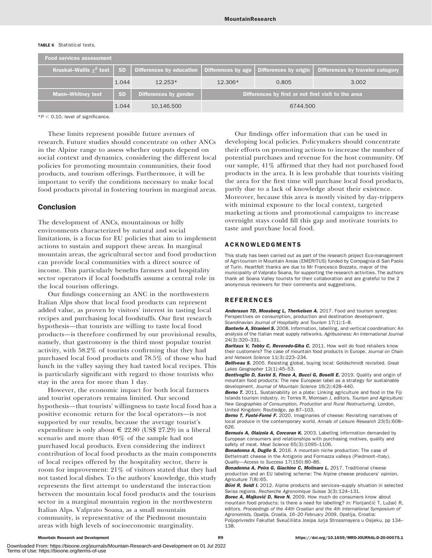#### TABLE 6 Statistical tests.

| <b>Food services assessment</b> |           |                                                                                                           |         |                                                     |                                  |
|---------------------------------|-----------|-----------------------------------------------------------------------------------------------------------|---------|-----------------------------------------------------|----------------------------------|
|                                 |           | Kruskal–Wallis $\chi^2$ test   SD   Differences by education   Differences by age   Differences by origin |         |                                                     | Differences by traveler category |
|                                 | 1.044     | $12.253*$                                                                                                 | 12.306* | 0.805                                               | 3.002                            |
| <b>Mann-Whitney test</b>        | <b>SD</b> | Differences by gender                                                                                     |         | Differences by first or not first visit to the area |                                  |
|                                 | 1.044     | 10,146.500                                                                                                |         | 6744.500                                            |                                  |

 $*P < 0.10$ , level of significance.

These limits represent possible future avenues of research. Future studies should concentrate on other ANCs in the Alpine range to assess whether outputs depend on social context and dynamics, considering the different local policies for promoting mountain communities, their food products, and tourism offerings. Furthermore, it will be important to verify the conditions necessary to make local food products pivotal in fostering tourism in marginal areas.

### Conclusion

The development of ANCs, mountainous or hilly environments characterized by natural and social limitations, is a focus for EU policies that aim to implement actions to sustain and support these areas. In marginal mountain areas, the agricultural sector and food production can provide local communities with a direct source of income. This particularly benefits farmers and hospitality sector operators if local foodstuffs assume a central role in the local tourism offerings.

Our findings concerning an ANC in the northwestern Italian Alps show that local food products can represent added value, as proven by visitors' interest in tasting local recipes and purchasing local foodstuffs. Our first research hypothesis—that tourists are willing to taste local food products—is therefore confirmed by our provisional results, namely, that gastronomy is the third most popular tourist activity, with 58.2% of tourists confirming that they had purchased local food products and 78.5% of those who had lunch in the valley saying they had tasted local recipes. This is particularly significant with regard to those tourists who stay in the area for more than 1 day.

However, the economic impact for both local farmers and tourist operators remains limited. Our second hypothesis—that tourists' willingness to taste local food has a positive economic return for the local operators—is not supported by our results, because the average tourist's expenditure is only about  $\in$  22.80 (US\$ 27.29) in a liberal scenario and more than 40% of the sample had not purchased local products. Even considering the indirect contribution of local food products as the main components of local recipes offered by the hospitality sector, there is room for improvement: 21% of visitors stated that they had not tasted local dishes. To the authors' knowledge, this study represents the first attempt to understand the interaction between the mountain local food products and the tourism sector in a marginal mountain region in the northwestern Italian Alps. Valprato Soana, as a small mountain community, is representative of the Piedmont mountain areas with high levels of socioeconomic marginality.

Our findings offer information that can be used in developing local policies. Policymakers should concentrate their efforts on promoting actions to increase the number of potential purchases and revenue for the host community. Of our sample, 41% affirmed that they had not purchased food products in the area. It is less probable that tourists visiting the area for the first time will purchase local food products, partly due to a lack of knowledge about their existence. Moreover, because this area is mostly visited by day-trippers with minimal exposure to the local context, targeted marketing actions and promotional campaigns to increase overnight stays could fill this gap and motivate tourists to taste and purchase local food.

#### ACKNOWLEDGMENTS

This study has been carried out as part of the research project Eco-management of Agri-tourism in Mountain Areas (EMERITUS) funded by Compagnia di San Paolo of Turin. Heartfelt thanks are due to Mr Francesco Bozzato, mayor of the municipality of Valprato Soana, for supporting the research activities. The authors thank all Soana Valley tourists for their collaboration and are grateful to the 2 anonymous reviewers for their comments and suggestions.

#### REFERENCES

Andersson TD, Mossberg L, Therkelsen A. 2017. Food and tourism synergies: Perspectives on consumption, production and destination development. Scandinavian Journal of Hospitality and Tourism 17(1):1–8.

Banterle A, Stranieri S. 2008. Information, labelling, and vertical coordination: An analysis of the Italian meat supply networks. Agribusiness: An International Journal 24(3):320–331.

Baritaux V, Tebby C, Revoredo-Giha C. 2011. How well do food retailers know their customers? The case of mountain food products in Europe. Journal on Chain and Network Science 11(3):223–234.

Belliveau S. 2005. Resisting global, buying local: Goldschmidt revisited. Great Lakes Geographer 12(1):45–53.

Bentivoglio D, Savini S, Finco A, Bucci G, Boselli E. 2019. Quality and origin of mountain food products: The new European label as a strategy for sustainable development. Journal of Mountain Science 16(2):428–440.

Berno T. 2011. Sustainability on a plate: Linking agriculture and food in the Fiji Islands tourism industry. In: Torres R, Momsen J, editors. Tourism and Agriculture: New Geographies of Consumption, Production and Rural Restructuring. London, United Kingdom: Routledge, pp 87–103.

Berno T, Fusté-Forné F. 2020. Imaginaries of cheese: Revisiting narratives of local produce in the contemporary world. Annals of Leisure Research 23(5):608– 626.

Bernués A, Olaizola A, Corcoran K. 2003. Labelling information demanded by European consumers and relationships with purchasing motives, quality and safety of meat. Meat Science 65(3):1095-1106.

**Bonadonna A. Duglio S.** 2016. A mountain niche production: The case of Bettelmatt cheese in the Antigorio and Formazza valleys (Piedmont–Italy). Quality—Access to Success 17(150):80–86.

Bonadonna A, Peira G, Giachino C, Molinaro L. 2017. Traditional cheese production and an EU labeling scheme: The Alpine cheese producers' opinion. Agriculture 7(8):65.

Böni R, Seidl I. 2012. Alpine products and services-supply situation in selected Swiss regions. Recherche Agronomique Suisse 3(3):124–131.

Borec A, Majkovič D, Neve N. 2009. How much do consumers know about mountain food products: Is there a need for labelling? In: Florijančić T, Lužaić R, editors. Proceedings of the 44th Croatian and the 4th International Symposium of Agronomists, Opatija, Croatia, 16–20 February 2009. Opatija, Croatia:

Poljoprivredni Fakultet Sveučilišta Josipa Jurja Strossmayera u Osijeku, pp 134-138.